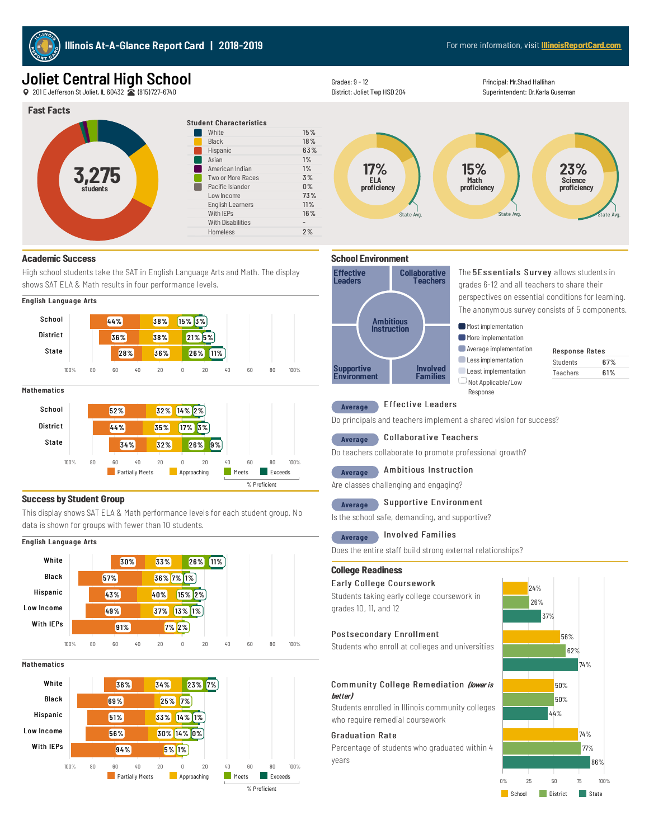

# Joliet Central High School

201EJeffersonStJoliet, IL60432 (815)727-6740



## **Academic Success**

High school students take the SAT in English Language Arts and Math. The display shows SAT ELA & Math results in four performance levels.



#### **Mathematics**



## **Success by Student Group**

This display shows SAT ELA & Math performance levels for each student group. No data is shown for groups with fewer than 10 students.





Mathematics







Students 67% Teachers 61%

Less implementation **Least implementation** NotApplicable/Low Response

Principal: Mr.Shad Hallihan Superintendent: Dr.Karla Guseman

## Average Effective Leaders

Grades:9- 12

Effective Leaders

Supportive Environment

District: Joliet Twp HSD 204

Do principals and teachers implement a shared vision for success?

## Average Collaborative Teachers

Do teachers collaborate to promote professional growth?

Involved **Families** 

## Average Ambitious Instruction

Are classes challenging and engaging?

## Average Supportive Environment

Is the school safe, demanding, and supportive?

#### Average Involved Families

Does the entire staff build strong external relationships?

## **College Readiness**

## Early College Coursework

Students taking early college coursework in grades 10, 11, and 12

## Postsecondary Enrollment

Students who enroll at colleges and universities

## Community College Remediation (lower is better)

Students enrolled in Illinois community colleges who require remedial coursework

## Graduation Rate

Percentage of students who graduated within 4 years